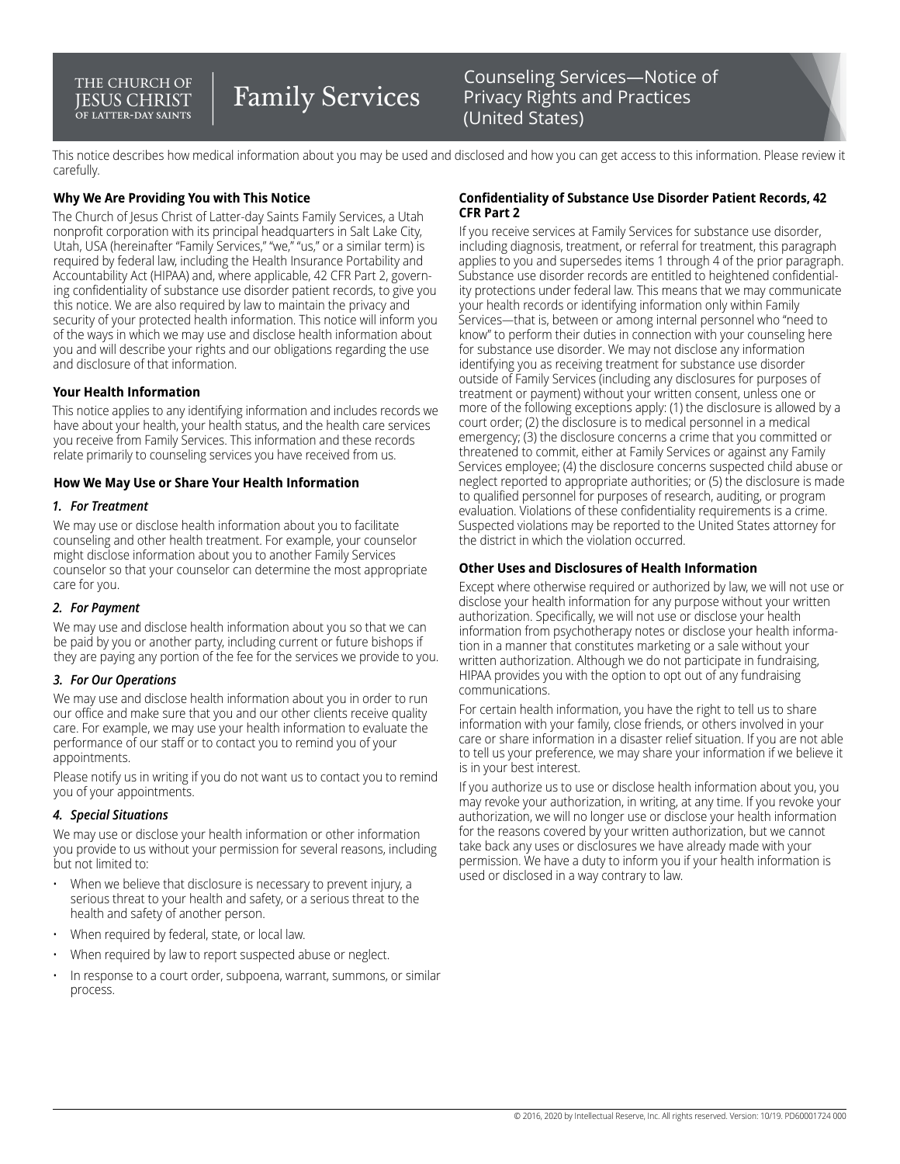#### THE CHURCH OF **IESUS CHRIST** .<br>OF LATTER-DAY SAINTS

# **Family Services**

### Counseling Services—Notice of Privacy Rights and Practices (United States)

This notice describes how medical information about you may be used and disclosed and how you can get access to this information. Please review it carefully.

#### **Why We Are Providing You with This Notice**

The Church of Jesus Christ of Latter-day Saints Family Services, a Utah nonprofit corporation with its principal headquarters in Salt Lake City, Utah, USA (hereinafter "Family Services," "we," "us," or a similar term) is required by federal law, including the Health Insurance Portability and Accountability Act (HIPAA) and, where applicable, 42 CFR Part 2, governing confidentiality of substance use disorder patient records, to give you this notice. We are also required by law to maintain the privacy and security of your protected health information. This notice will inform you of the ways in which we may use and disclose health information about you and will describe your rights and our obligations regarding the use and disclosure of that information.

#### **Your Health Information**

This notice applies to any identifying information and includes records we have about your health, your health status, and the health care services you receive from Family Services. This information and these records relate primarily to counseling services you have received from us.

#### **How We May Use or Share Your Health Information**

#### *1. For Treatment*

We may use or disclose health information about you to facilitate counseling and other health treatment. For example, your counselor might disclose information about you to another Family Services counselor so that your counselor can determine the most appropriate care for you.

#### *2. For Payment*

We may use and disclose health information about you so that we can be paid by you or another party, including current or future bishops if they are paying any portion of the fee for the services we provide to you.

#### *3. For Our Operations*

We may use and disclose health information about you in order to run our office and make sure that you and our other clients receive quality care. For example, we may use your health information to evaluate the performance of our staff or to contact you to remind you of your appointments.

Please notify us in writing if you do not want us to contact you to remind you of your appointments.

#### *4. Special Situations*

We may use or disclose your health information or other information you provide to us without your permission for several reasons, including but not limited to:

- When we believe that disclosure is necessary to prevent injury, a serious threat to your health and safety, or a serious threat to the health and safety of another person.
- When required by federal, state, or local law.
- When required by law to report suspected abuse or neglect.
- In response to a court order, subpoena, warrant, summons, or similar process.

#### **Confidentiality of Substance Use Disorder Patient Records, 42 CFR Part 2**

If you receive services at Family Services for substance use disorder, including diagnosis, treatment, or referral for treatment, this paragraph applies to you and supersedes items 1 through 4 of the prior paragraph. Substance use disorder records are entitled to heightened confidentiality protections under federal law. This means that we may communicate your health records or identifying information only within Family Services—that is, between or among internal personnel who "need to know" to perform their duties in connection with your counseling here for substance use disorder. We may not disclose any information identifying you as receiving treatment for substance use disorder outside of Family Services (including any disclosures for purposes of treatment or payment) without your written consent, unless one or more of the following exceptions apply: (1) the disclosure is allowed by a court order; (2) the disclosure is to medical personnel in a medical emergency; (3) the disclosure concerns a crime that you committed or threatened to commit, either at Family Services or against any Family Services employee; (4) the disclosure concerns suspected child abuse or neglect reported to appropriate authorities; or (5) the disclosure is made to qualified personnel for purposes of research, auditing, or program evaluation. Violations of these confidentiality requirements is a crime. Suspected violations may be reported to the United States attorney for the district in which the violation occurred.

#### **Other Uses and Disclosures of Health Information**

Except where otherwise required or authorized by law, we will not use or disclose your health information for any purpose without your written authorization. Specifically, we will not use or disclose your health information from psychotherapy notes or disclose your health information in a manner that constitutes marketing or a sale without your written authorization. Although we do not participate in fundraising, HIPAA provides you with the option to opt out of any fundraising communications.

For certain health information, you have the right to tell us to share information with your family, close friends, or others involved in your care or share information in a disaster relief situation. If you are not able to tell us your preference, we may share your information if we believe it is in your best interest.

If you authorize us to use or disclose health information about you, you may revoke your authorization, in writing, at any time. If you revoke your authorization, we will no longer use or disclose your health information for the reasons covered by your written authorization, but we cannot take back any uses or disclosures we have already made with your permission. We have a duty to inform you if your health information is used or disclosed in a way contrary to law.